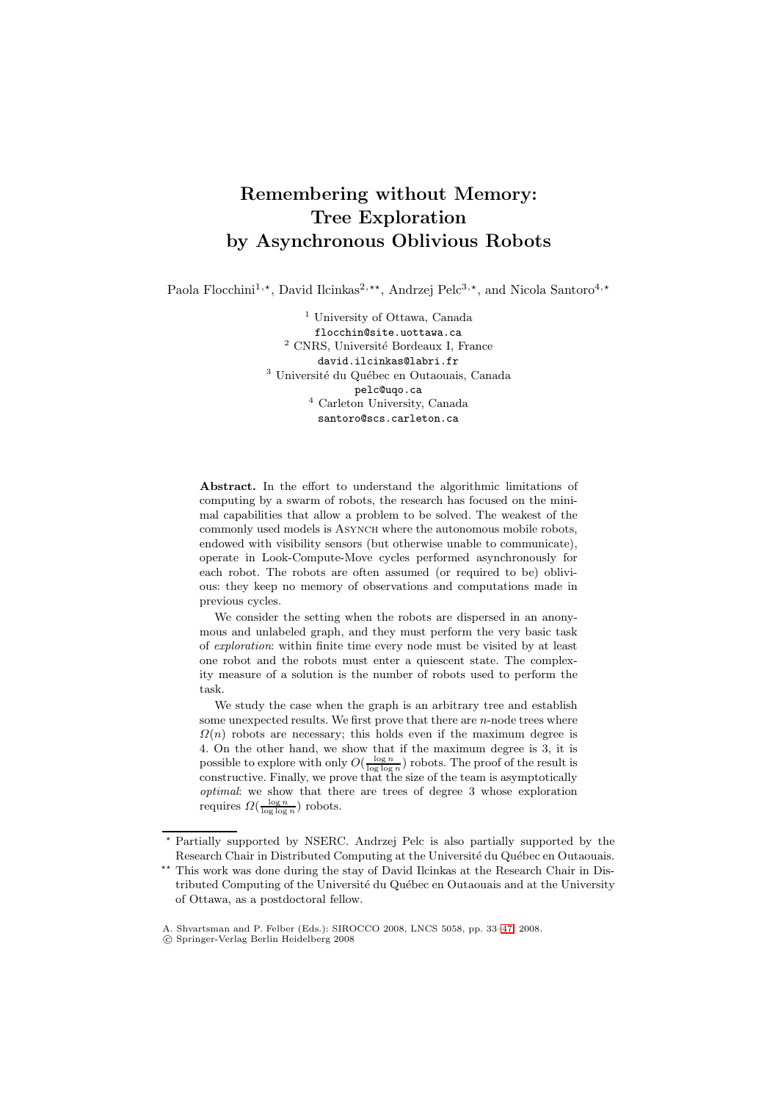# **Remembering without Memory: Tree Exploration by Asynchronous Oblivious Robots**

Paola Flocchini<sup>1,\*</sup>, David Ilcinkas<sup>2,\*\*</sup>, Andrzej Pelc<sup>3,\*</sup>, and Nicola Santoro<sup>4,\*</sup>

<sup>1</sup> University of Ottawa, Canada flocchin@site.uottawa.ca  $^2$  CNRS, Université Bordeaux I, France david.ilcinkas@labri.fr  $^3$ Université du Québec en Outaouais, Canada pelc@uqo.ca <sup>4</sup> Carleton University, Canada santoro@scs.carleton.ca

**Abstract.** In the effort to understand the algorithmic limitations of computing by a swarm of robots, the research has focused on the minimal capabilities that allow a problem to be solved. The weakest of the commonly used models is ASYNCH where the autonomous mobile robots, endowed with visibility sensors (but otherwise unable to communicate), operate in Look-Compute-Move cycles performed asynchronously for each robot. The robots are often assumed (or required to be) oblivious: they keep no memory of observations and computations made in previous cycles.

We consider the setting when the robots are dispersed in an anonymous and unlabeled graph, and they must perform the very basic task of exploration: within finite time every node must be visited by at least one robot and the robots must enter a quiescent state. The complexity measure of a solution is the number of robots used to perform the task.

We study the case when the graph is an arbitrary tree and establish some unexpected results. We first prove that there are  $n$ -node trees where  $\Omega(n)$  robots are necessary; this holds even if the maximum degree is 4. On the other hand, we show that if the maximum degree is 3, it is possible to explore with only  $O(\frac{\log n}{\log \log n})$  robots. The proof of the result is constructive. Finally, we prove that the size of the team is asymptotically optimal: we show that there are trees of degree 3 whose exploration requires  $\Omega(\frac{\log n}{\log \log n})$  robots.

 $\star$  Partially supported by NSERC. Andrzej Pelc is also partially supported by the Research Chair in Distributed Computing at the Université du Québec en Outaouais.

 $\star\star$  This work was done during the stay of David Ilcinkas at the Research Chair in Distributed Computing of the Université du Québec en Outaouais and at the University of Ottawa, as a postdoctoral fellow.

A. Shvartsman and P. Felber (Eds.): SIROCCO 2008, LNCS 5058, pp. 33[–47,](#page-14-0) 2008.

<sup>-</sup>c Springer-Verlag Berlin Heidelberg 2008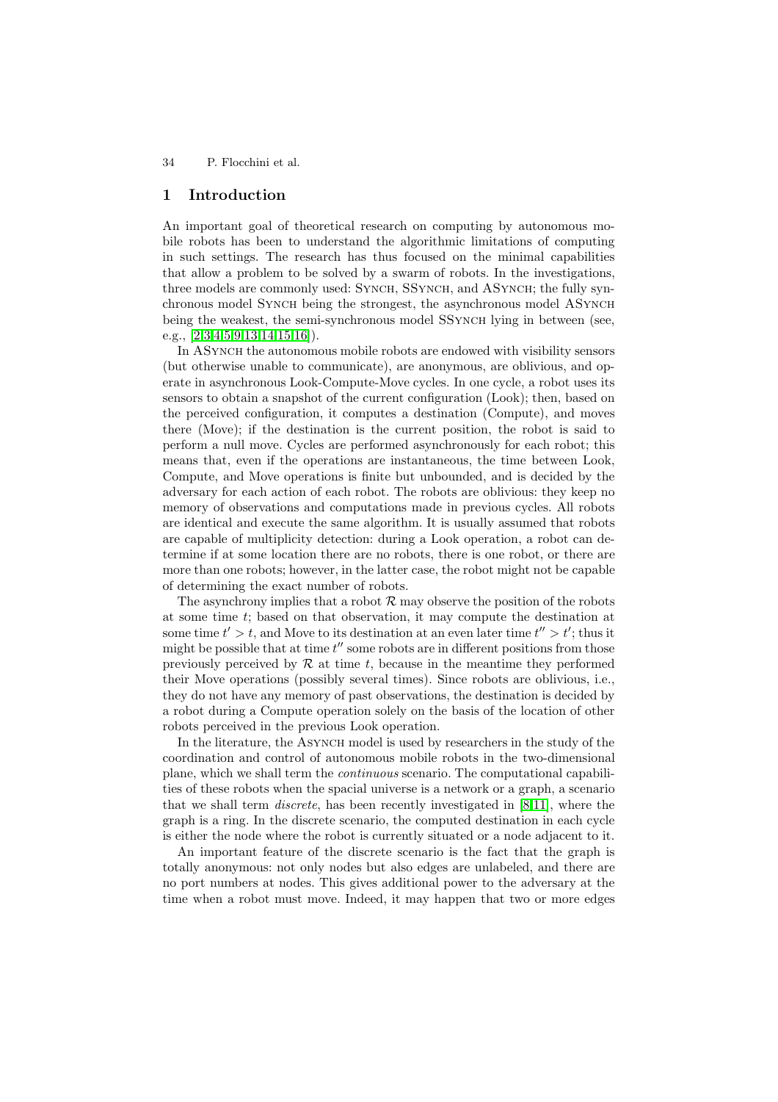# **1 Introduction**

An important goal of theoretical research on computing by autonomous mobile robots has been to understand the algorithmic limitations of computing in such settings. The research has thus focused on the minimal capabilities that allow a problem to be solved by a swarm of robots. In the investigations, three models are commonly used: SYNCH, SSYNCH, and ASYNCH; the fully synchronous model Synch being the strongest, the asynchronous model ASynch being the weakest, the semi-synchronous model SSYNCH lying in between (see, e.g., [\[2](#page-14-1)[,3,](#page-14-2)[4](#page-14-3)[,5](#page-14-4)[,9](#page-14-5)[,13,](#page-14-6)[14,](#page-14-7)[15](#page-14-8)[,16\]](#page-14-9)).

In ASynch the autonomous mobile robots are endowed with visibility sensors (but otherwise unable to communicate), are anonymous, are oblivious, and operate in asynchronous Look-Compute-Move cycles. In one cycle, a robot uses its sensors to obtain a snapshot of the current configuration (Look); then, based on the perceived configuration, it computes a destination (Compute), and moves there (Move); if the destination is the current position, the robot is said to perform a null move. Cycles are performed asynchronously for each robot; this means that, even if the operations are instantaneous, the time between Look, Compute, and Move operations is finite but unbounded, and is decided by the adversary for each action of each robot. The robots are oblivious: they keep no memory of observations and computations made in previous cycles. All robots are identical and execute the same algorithm. It is usually assumed that robots are capable of multiplicity detection: during a Look operation, a robot can determine if at some location there are no robots, there is one robot, or there are more than one robots; however, in the latter case, the robot might not be capable of determining the exact number of robots.

The asynchrony implies that a robot  $\mathcal R$  may observe the position of the robots at some time t; based on that observation, it may compute the destination at some time  $t' > t$ , and Move to its destination at an even later time  $t'' > t'$ ; thus it might be possible that at time  $t''$  some robots are in different positions from those previously perceived by  $R$  at time t, because in the meantime they performed their Move operations (possibly several times). Since robots are oblivious, i.e., they do not have any memory of past observations, the destination is decided by a robot during a Compute operation solely on the basis of the location of other robots perceived in the previous Look operation.

In the literature, the ASYNCH model is used by researchers in the study of the coordination and control of autonomous mobile robots in the two-dimensional plane, which we shall term the continuous scenario. The computational capabilities of these robots when the spacial universe is a network or a graph, a scenario that we shall term discrete, has been recently investigated in [\[8,](#page-14-10)[11\]](#page-14-11), where the graph is a ring. In the discrete scenario, the computed destination in each cycle is either the node where the robot is currently situated or a node adjacent to it.

An important feature of the discrete scenario is the fact that the graph is totally anonymous: not only nodes but also edges are unlabeled, and there are no port numbers at nodes. This gives additional power to the adversary at the time when a robot must move. Indeed, it may happen that two or more edges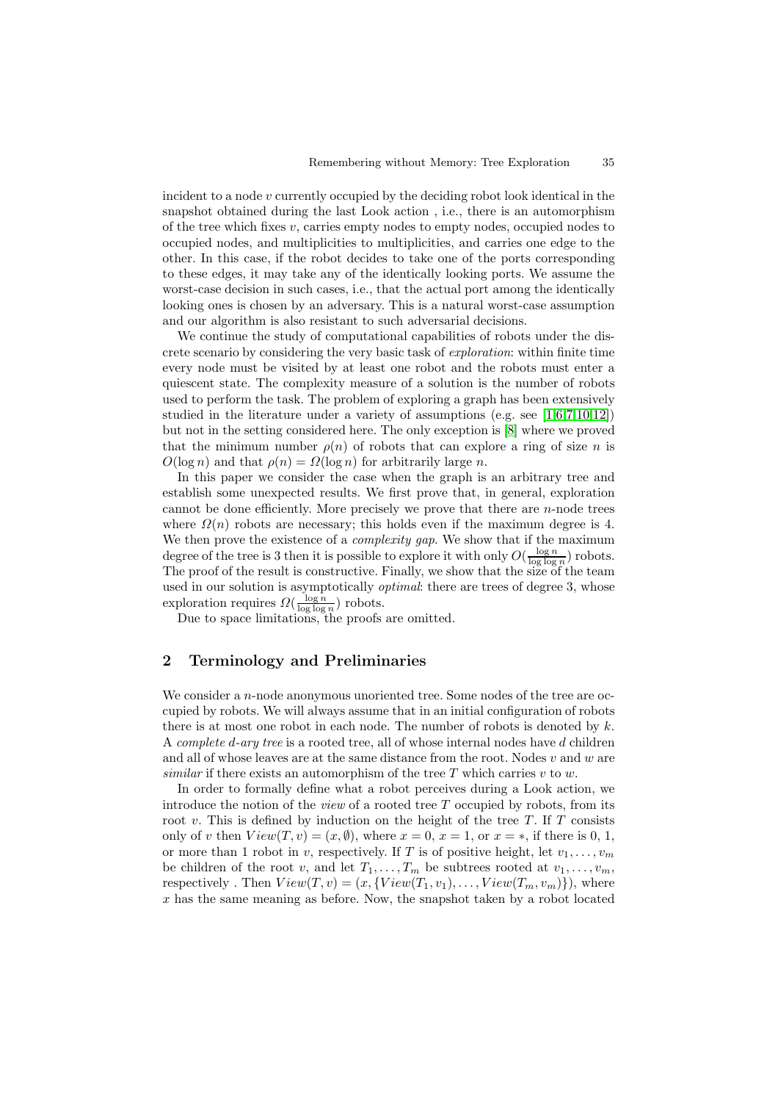incident to a node v currently occupied by the deciding robot look identical in the snapshot obtained during the last Look action , i.e., there is an automorphism of the tree which fixes  $v$ , carries empty nodes to empty nodes, occupied nodes to occupied nodes, and multiplicities to multiplicities, and carries one edge to the other. In this case, if the robot decides to take one of the ports corresponding to these edges, it may take any of the identically looking ports. We assume the worst-case decision in such cases, i.e., that the actual port among the identically looking ones is chosen by an adversary. This is a natural worst-case assumption and our algorithm is also resistant to such adversarial decisions.

We continue the study of computational capabilities of robots under the discrete scenario by considering the very basic task of exploration: within finite time every node must be visited by at least one robot and the robots must enter a quiescent state. The complexity measure of a solution is the number of robots used to perform the task. The problem of exploring a graph has been extensively studied in the literature under a variety of assumptions (e.g. see [\[1,](#page-14-12)[6](#page-14-13)[,7,](#page-14-14)[10](#page-14-15)[,12\]](#page-14-16)) but not in the setting considered here. The only exception is [\[8\]](#page-14-10) where we proved that the minimum number  $\rho(n)$  of robots that can explore a ring of size n is  $O(\log n)$  and that  $\rho(n) = \Omega(\log n)$  for arbitrarily large n.

In this paper we consider the case when the graph is an arbitrary tree and establish some unexpected results. We first prove that, in general, exploration cannot be done efficiently. More precisely we prove that there are  $n$ -node trees where  $\Omega(n)$  robots are necessary; this holds even if the maximum degree is 4. We then prove the existence of a *complexity gap*. We show that if the maximum degree of the tree is 3 then it is possible to explore it with only  $O(\frac{\log n}{\log \log n})$  robots. The proof of the result is constructive. Finally, we show that the size of the team used in our solution is asymptotically *optimal*: there are trees of degree 3, whose exploration requires  $\Omega(\frac{\log n}{\log \log n})$  robots.

Due to space limitations, the proofs are omitted.

# **2 Terminology and Preliminaries**

We consider a *n*-node anonymous unoriented tree. Some nodes of the tree are occupied by robots. We will always assume that in an initial configuration of robots there is at most one robot in each node. The number of robots is denoted by  $k$ . A complete d-ary tree is a rooted tree, all of whose internal nodes have d children and all of whose leaves are at the same distance from the root. Nodes  $v$  and  $w$  are similar if there exists an automorphism of the tree  $T$  which carries  $v$  to  $w$ .

In order to formally define what a robot perceives during a Look action, we introduce the notion of the *view* of a rooted tree  $T$  occupied by robots, from its root v. This is defined by induction on the height of the tree  $T$ . If  $T$  consists only of v then  $View(T, v) = (x, \emptyset)$ , where  $x = 0, x = 1$ , or  $x = *,$  if there is 0, 1, or more than 1 robot in v, respectively. If T is of positive height, let  $v_1, \ldots, v_m$ be children of the root v, and let  $T_1, \ldots, T_m$  be subtrees rooted at  $v_1, \ldots, v_m$ , respectively . Then  $View(T, v) = (x, \{View(T_1, v_1), \ldots, View(T_m, v_m)\})$ , where  $x$  has the same meaning as before. Now, the snapshot taken by a robot located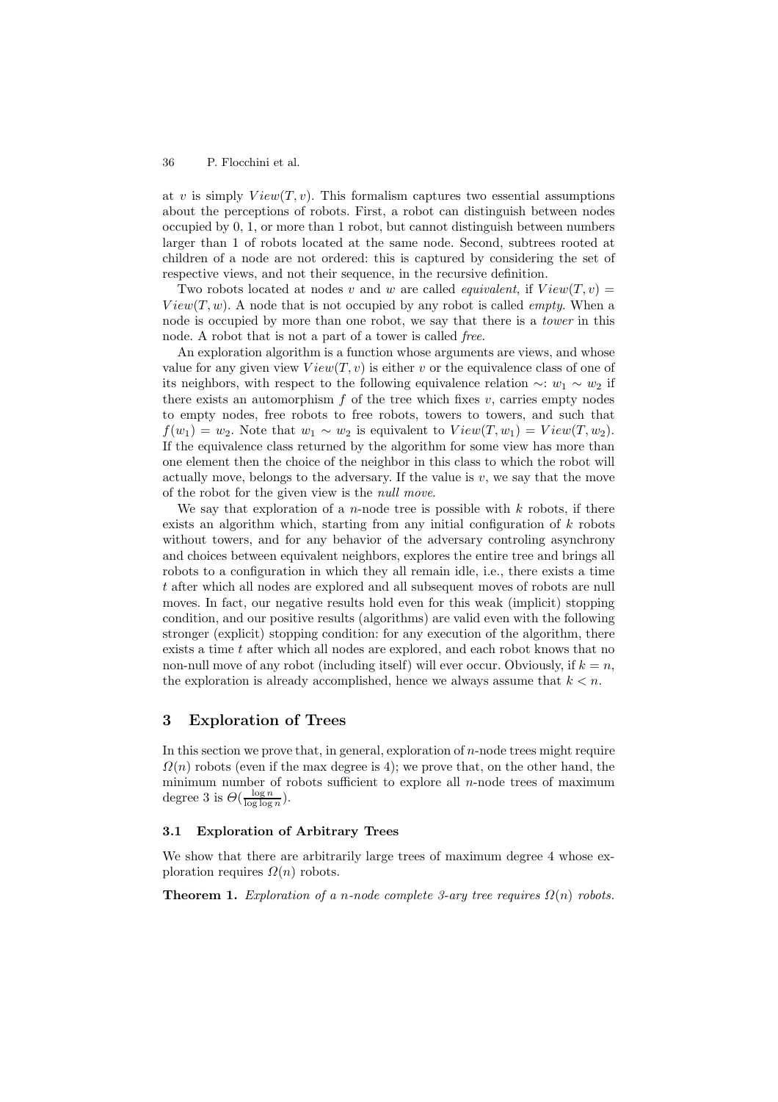at v is simply  $View(T,v)$ . This formalism captures two essential assumptions about the perceptions of robots. First, a robot can distinguish between nodes occupied by 0, 1, or more than 1 robot, but cannot distinguish between numbers larger than 1 of robots located at the same node. Second, subtrees rooted at children of a node are not ordered: this is captured by considering the set of respective views, and not their sequence, in the recursive definition.

Two robots located at nodes v and w are called *equivalent*, if  $View(T, v)$  =  $View(T, w)$ . A node that is not occupied by any robot is called *empty*. When a node is occupied by more than one robot, we say that there is a tower in this node. A robot that is not a part of a tower is called free.

An exploration algorithm is a function whose arguments are views, and whose value for any given view  $View(T, v)$  is either v or the equivalence class of one of its neighbors, with respect to the following equivalence relation  $\sim$ :  $w_1 \sim w_2$  if there exists an automorphism  $f$  of the tree which fixes  $v$ , carries empty nodes to empty nodes, free robots to free robots, towers to towers, and such that  $f(w_1) = w_2$ . Note that  $w_1 \sim w_2$  is equivalent to  $View(T, w_1) = View(T, w_2)$ . If the equivalence class returned by the algorithm for some view has more than one element then the choice of the neighbor in this class to which the robot will actually move, belongs to the adversary. If the value is v, we say that the move of the robot for the given view is the null move.

We say that exploration of a *n*-node tree is possible with  $k$  robots, if there exists an algorithm which, starting from any initial configuration of  $k$  robots without towers, and for any behavior of the adversary controling asynchrony and choices between equivalent neighbors, explores the entire tree and brings all robots to a configuration in which they all remain idle, i.e., there exists a time t after which all nodes are explored and all subsequent moves of robots are null moves. In fact, our negative results hold even for this weak (implicit) stopping condition, and our positive results (algorithms) are valid even with the following stronger (explicit) stopping condition: for any execution of the algorithm, there exists a time t after which all nodes are explored, and each robot knows that no non-null move of any robot (including itself) will ever occur. Obviously, if  $k = n$ , the exploration is already accomplished, hence we always assume that  $k < n$ .

# **3 Exploration of Trees**

In this section we prove that, in general, exploration of  $n$ -node trees might require  $\Omega(n)$  robots (even if the max degree is 4); we prove that, on the other hand, the minimum number of robots sufficient to explore all  $n$ -node trees of maximum degree 3 is  $\Theta(\frac{\log n}{\log \log n})$ .

#### **3.1 Exploration of Arbitrary Trees**

We show that there are arbitrarily large trees of maximum degree 4 whose exploration requires  $\Omega(n)$  robots.

**Theorem 1.** Exploration of a n-node complete 3-ary tree requires  $\Omega(n)$  robots.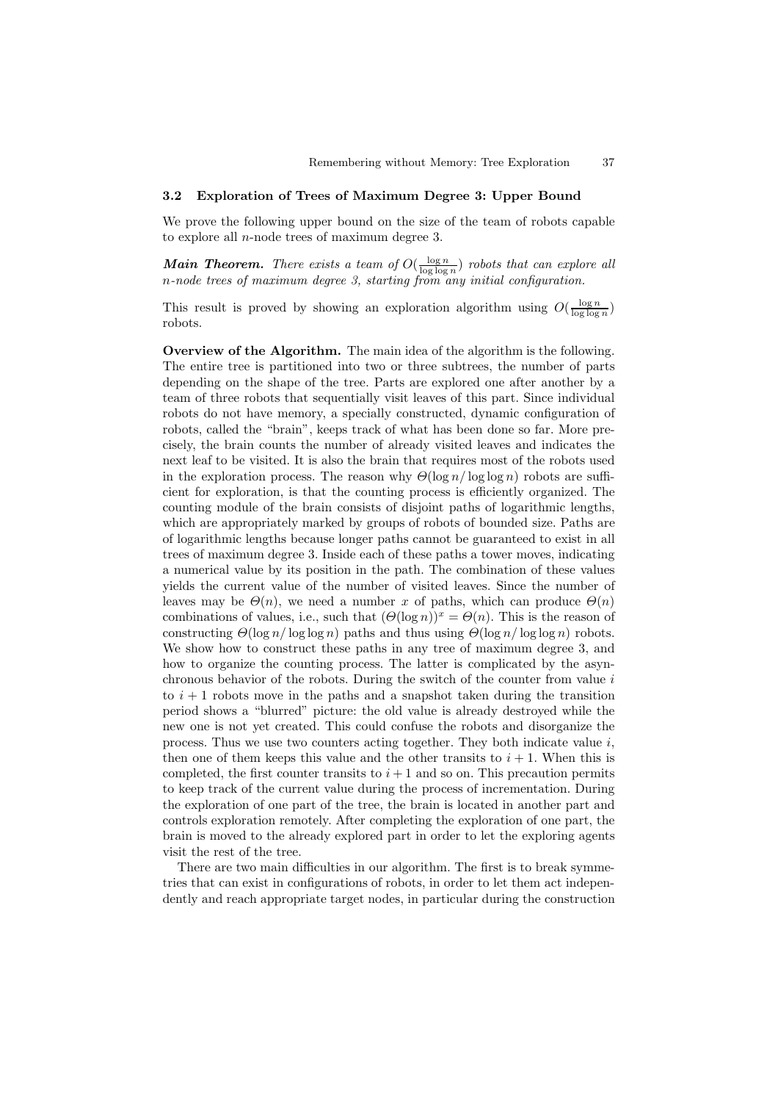#### **3.2 Exploration of Trees of Maximum Degree 3: Upper Bound**

We prove the following upper bound on the size of the team of robots capable to explore all n-node trees of maximum degree 3.

**Main Theorem.** There exists a team of  $O(\frac{\log n}{\log \log n})$  robots that can explore all n-node trees of maximum degree 3, starting from any initial configuration.

This result is proved by showing an exploration algorithm using  $O(\frac{\log n}{\log \log n})$ robots.

**Overview of the Algorithm.** The main idea of the algorithm is the following. The entire tree is partitioned into two or three subtrees, the number of parts depending on the shape of the tree. Parts are explored one after another by a team of three robots that sequentially visit leaves of this part. Since individual robots do not have memory, a specially constructed, dynamic configuration of robots, called the "brain", keeps track of what has been done so far. More precisely, the brain counts the number of already visited leaves and indicates the next leaf to be visited. It is also the brain that requires most of the robots used in the exploration process. The reason why  $\Theta(\log n / \log \log n)$  robots are sufficient for exploration, is that the counting process is efficiently organized. The counting module of the brain consists of disjoint paths of logarithmic lengths, which are appropriately marked by groups of robots of bounded size. Paths are of logarithmic lengths because longer paths cannot be guaranteed to exist in all trees of maximum degree 3. Inside each of these paths a tower moves, indicating a numerical value by its position in the path. The combination of these values yields the current value of the number of visited leaves. Since the number of leaves may be  $\Theta(n)$ , we need a number x of paths, which can produce  $\Theta(n)$ combinations of values, i.e., such that  $(\Theta(\log n))^x = \Theta(n)$ . This is the reason of constructing  $\Theta(\log n / \log \log n)$  paths and thus using  $\Theta(\log n / \log \log n)$  robots. We show how to construct these paths in any tree of maximum degree 3, and how to organize the counting process. The latter is complicated by the asynchronous behavior of the robots. During the switch of the counter from value  $i$ to  $i + 1$  robots move in the paths and a snapshot taken during the transition period shows a "blurred" picture: the old value is already destroyed while the new one is not yet created. This could confuse the robots and disorganize the process. Thus we use two counters acting together. They both indicate value  $i$ , then one of them keeps this value and the other transits to  $i + 1$ . When this is completed, the first counter transits to  $i+1$  and so on. This precaution permits to keep track of the current value during the process of incrementation. During the exploration of one part of the tree, the brain is located in another part and controls exploration remotely. After completing the exploration of one part, the brain is moved to the already explored part in order to let the exploring agents visit the rest of the tree.

There are two main difficulties in our algorithm. The first is to break symmetries that can exist in configurations of robots, in order to let them act independently and reach appropriate target nodes, in particular during the construction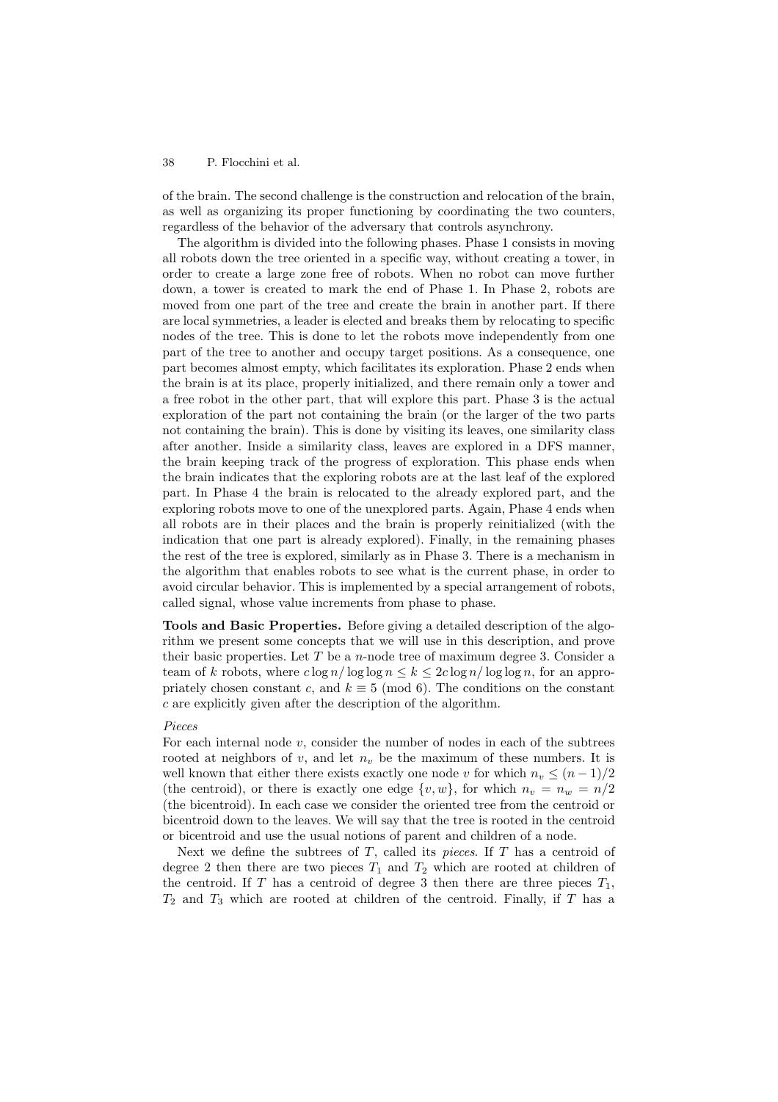of the brain. The second challenge is the construction and relocation of the brain, as well as organizing its proper functioning by coordinating the two counters, regardless of the behavior of the adversary that controls asynchrony.

The algorithm is divided into the following phases. Phase 1 consists in moving all robots down the tree oriented in a specific way, without creating a tower, in order to create a large zone free of robots. When no robot can move further down, a tower is created to mark the end of Phase 1. In Phase 2, robots are moved from one part of the tree and create the brain in another part. If there are local symmetries, a leader is elected and breaks them by relocating to specific nodes of the tree. This is done to let the robots move independently from one part of the tree to another and occupy target positions. As a consequence, one part becomes almost empty, which facilitates its exploration. Phase 2 ends when the brain is at its place, properly initialized, and there remain only a tower and a free robot in the other part, that will explore this part. Phase 3 is the actual exploration of the part not containing the brain (or the larger of the two parts not containing the brain). This is done by visiting its leaves, one similarity class after another. Inside a similarity class, leaves are explored in a DFS manner, the brain keeping track of the progress of exploration. This phase ends when the brain indicates that the exploring robots are at the last leaf of the explored part. In Phase 4 the brain is relocated to the already explored part, and the exploring robots move to one of the unexplored parts. Again, Phase 4 ends when all robots are in their places and the brain is properly reinitialized (with the indication that one part is already explored). Finally, in the remaining phases the rest of the tree is explored, similarly as in Phase 3. There is a mechanism in the algorithm that enables robots to see what is the current phase, in order to avoid circular behavior. This is implemented by a special arrangement of robots, called signal, whose value increments from phase to phase.

**Tools and Basic Properties.** Before giving a detailed description of the algorithm we present some concepts that we will use in this description, and prove their basic properties. Let  $T$  be a n-node tree of maximum degree 3. Consider a team of k robots, where  $c \log n / \log \log n \le k \le 2c \log n / \log \log n$ , for an appropriately chosen constant c, and  $k \equiv 5 \pmod{6}$ . The conditions on the constant c are explicitly given after the description of the algorithm.

#### Pieces

For each internal node  $v$ , consider the number of nodes in each of the subtrees rooted at neighbors of  $v$ , and let  $n_v$  be the maximum of these numbers. It is well known that either there exists exactly one node v for which  $n_v \leq (n-1)/2$ (the centroid), or there is exactly one edge  $\{v, w\}$ , for which  $n_v = n_w = n/2$ (the bicentroid). In each case we consider the oriented tree from the centroid or bicentroid down to the leaves. We will say that the tree is rooted in the centroid or bicentroid and use the usual notions of parent and children of a node.

Next we define the subtrees of  $T$ , called its *pieces*. If  $T$  has a centroid of degree 2 then there are two pieces  $T_1$  and  $T_2$  which are rooted at children of the centroid. If T has a centroid of degree 3 then there are three pieces  $T_1$ ,  $T_2$  and  $T_3$  which are rooted at children of the centroid. Finally, if T has a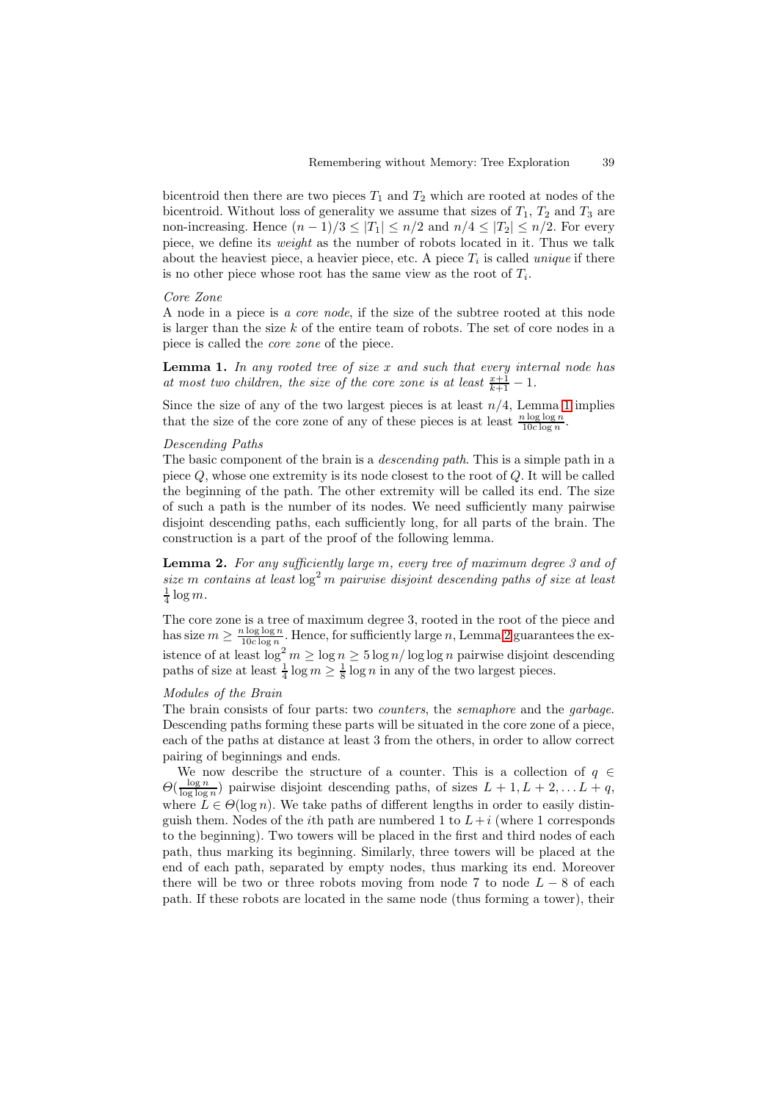bicentroid then there are two pieces  $T_1$  and  $T_2$  which are rooted at nodes of the bicentroid. Without loss of generality we assume that sizes of  $T_1$ ,  $T_2$  and  $T_3$  are non-increasing. Hence  $(n-1)/3 \leq |T_1| \leq n/2$  and  $n/4 \leq |T_2| \leq n/2$ . For every piece, we define its weight as the number of robots located in it. Thus we talk about the heaviest piece, a heavier piece, etc. A piece  $T_i$  is called *unique* if there is no other piece whose root has the same view as the root of  $T_i$ .

#### Core Zone

A node in a piece is a core node, if the size of the subtree rooted at this node is larger than the size  $k$  of the entire team of robots. The set of core nodes in a piece is called the core zone of the piece.

<span id="page-6-0"></span>**Lemma 1.** In any rooted tree of size x and such that every internal node has at most two children, the size of the core zone is at least  $\frac{x+1}{k+1} - 1$ .

Since the size of any of the two largest pieces is at least  $n/4$ , Lemma [1](#page-6-0) implies that the size of the core zone of any of these pieces is at least  $\frac{n \log \log n}{10c \log n}$ .

## Descending Paths

The basic component of the brain is a *descending path*. This is a simple path in a piece  $Q$ , whose one extremity is its node closest to the root of  $Q$ . It will be called the beginning of the path. The other extremity will be called its end. The size of such a path is the number of its nodes. We need sufficiently many pairwise disjoint descending paths, each sufficiently long, for all parts of the brain. The construction is a part of the proof of the following lemma.

<span id="page-6-1"></span>Lemma 2. For any sufficiently large m, every tree of maximum degree 3 and of size m contains at least  $\log^2 m$  pairwise disjoint descending paths of size at least  $rac{1}{4} \log m$ .

The core zone is a tree of maximum degree 3, rooted in the root of the piece and has size  $m \ge \frac{n \log \log n}{10c \log n}$ . Hence, for sufficiently large n, Lemma [2](#page-6-1) guarantees the existence of at least  $\log^2 m \ge \log n \ge 5 \log n / \log \log n$  pairwise disjoint descending paths of size at least  $\frac{1}{4} \log m \ge \frac{1}{8} \log n$  in any of the two largest pieces.

# Modules of the Brain

The brain consists of four parts: two counters, the semaphore and the garbage. Descending paths forming these parts will be situated in the core zone of a piece, each of the paths at distance at least 3 from the others, in order to allow correct pairing of beginnings and ends.

We now describe the structure of a counter. This is a collection of  $q \in$  $\Theta(\frac{\log n}{\log \log n})$  pairwise disjoint descending paths, of sizes  $L + 1, L + 2, \ldots L + q$ , where  $\bar{L} \in \Theta(\log n)$ . We take paths of different lengths in order to easily distinguish them. Nodes of the *i*th path are numbered 1 to  $L+i$  (where 1 corresponds to the beginning). Two towers will be placed in the first and third nodes of each path, thus marking its beginning. Similarly, three towers will be placed at the end of each path, separated by empty nodes, thus marking its end. Moreover there will be two or three robots moving from node 7 to node  $L - 8$  of each path. If these robots are located in the same node (thus forming a tower), their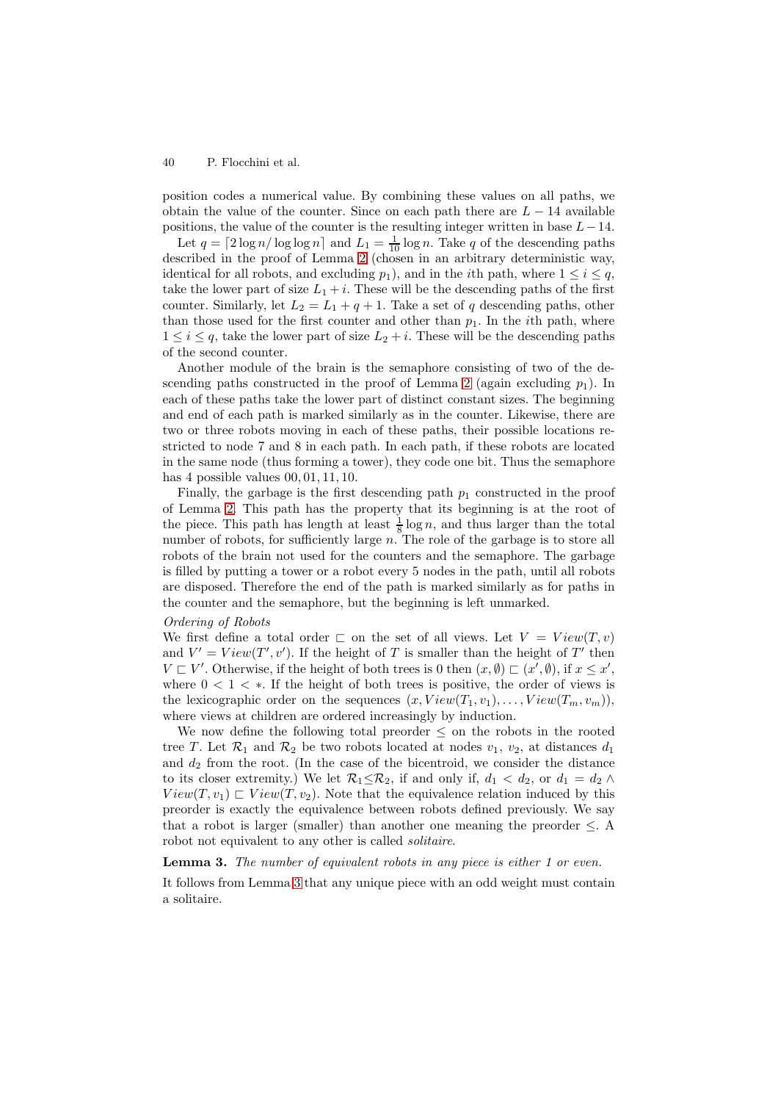position codes a numerical value. By combining these values on all paths, we obtain the value of the counter. Since on each path there are  $L - 14$  available positions, the value of the counter is the resulting integer written in base  $L-14$ .

Let  $q = \lceil 2 \log n / \log \log n \rceil$  and  $L_1 = \frac{1}{10} \log n$ . Take q of the descending paths described in the proof of Lemma [2](#page-6-1) (chosen in an arbitrary deterministic way, identical for all robots, and excluding  $p_1$ ), and in the *i*th path, where  $1 \leq i \leq q$ , take the lower part of size  $L_1 + i$ . These will be the descending paths of the first counter. Similarly, let  $L_2 = L_1 + q + 1$ . Take a set of q descending paths, other than those used for the first counter and other than  $p_1$ . In the *i*th path, where  $1 \leq i \leq q$ , take the lower part of size  $L_2 + i$ . These will be the descending paths of the second counter.

Another module of the brain is the semaphore consisting of two of the de-scending paths constructed in the proof of Lemma [2](#page-6-1) (again excluding  $p_1$ ). In each of these paths take the lower part of distinct constant sizes. The beginning and end of each path is marked similarly as in the counter. Likewise, there are two or three robots moving in each of these paths, their possible locations restricted to node 7 and 8 in each path. In each path, if these robots are located in the same node (thus forming a tower), they code one bit. Thus the semaphore has 4 possible values 00, 01, 11, 10.

Finally, the garbage is the first descending path  $p_1$  constructed in the proof of Lemma [2.](#page-6-1) This path has the property that its beginning is at the root of the piece. This path has length at least  $\frac{1}{8} \log n$ , and thus larger than the total number of robots, for sufficiently large n. The role of the garbage is to store all robots of the brain not used for the counters and the semaphore. The garbage is filled by putting a tower or a robot every 5 nodes in the path, until all robots are disposed. Therefore the end of the path is marked similarly as for paths in the counter and the semaphore, but the beginning is left unmarked.

## Ordering of Robots

We first define a total order  $\sqsubset$  on the set of all views. Let  $V = View(T, v)$ and  $V' = View(T', v')$ . If the height of T is smaller than the height of T' then  $V \subset V'$ . Otherwise, if the height of both trees is 0 then  $(x, \emptyset) \subset (x', \emptyset)$ , if  $x \leq x'$ , where  $0 < 1 < *$ . If the height of both trees is positive, the order of views is the lexicographic order on the sequences  $(x, View(T_1, v_1), \ldots, View(T_m, v_m)),$ where views at children are ordered increasingly by induction.

We now define the following total preorder  $\leq$  on the robots in the rooted tree T. Let  $\mathcal{R}_1$  and  $\mathcal{R}_2$  be two robots located at nodes  $v_1, v_2$ , at distances  $d_1$ and  $d_2$  from the root. (In the case of the bicentroid, we consider the distance to its closer extremity.) We let  $\mathcal{R}_1 \leq \mathcal{R}_2$ , if and only if,  $d_1 < d_2$ , or  $d_1 = d_2 \wedge d_2$  $View(T, v_1) \subset View(T, v_2)$ . Note that the equivalence relation induced by this preorder is exactly the equivalence between robots defined previously. We say that a robot is larger (smaller) than another one meaning the preorder  $\leq$ . A robot not equivalent to any other is called *solitaire*.

#### <span id="page-7-0"></span>**Lemma 3.** The number of equivalent robots in any piece is either 1 or even.

It follows from Lemma [3](#page-7-0) that any unique piece with an odd weight must contain a solitaire.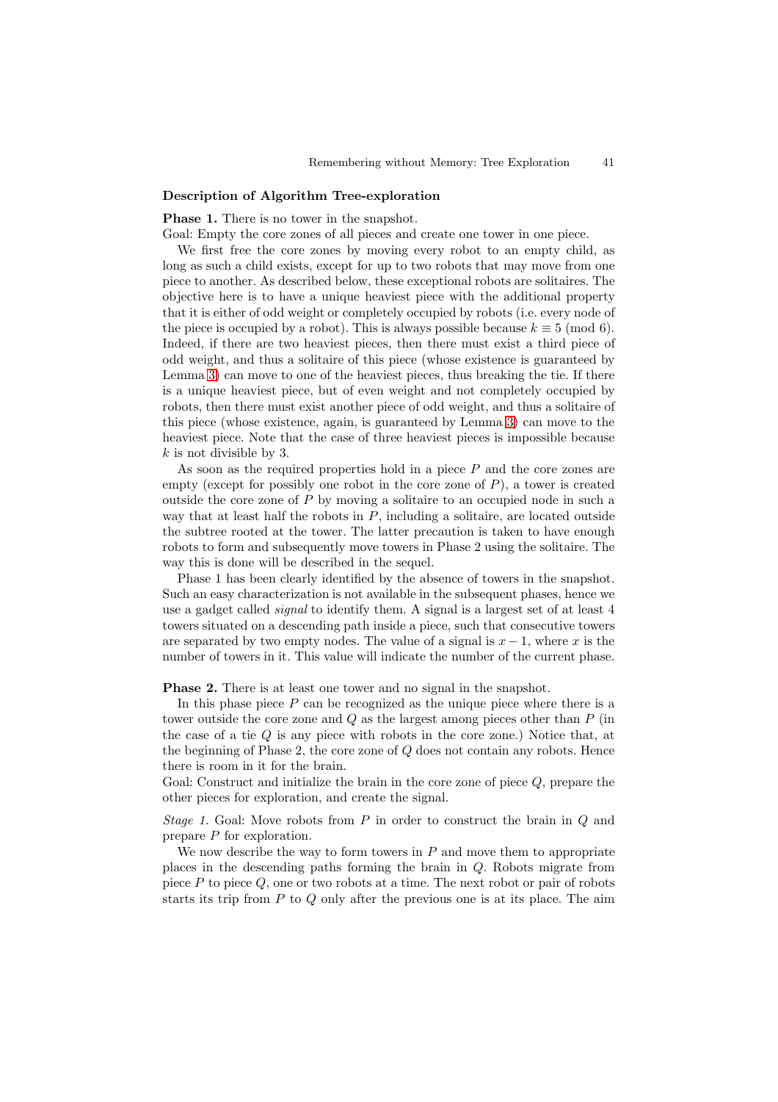#### **Description of Algorithm Tree-exploration**

**Phase 1.** There is no tower in the snapshot.

Goal: Empty the core zones of all pieces and create one tower in one piece.

We first free the core zones by moving every robot to an empty child, as long as such a child exists, except for up to two robots that may move from one piece to another. As described below, these exceptional robots are solitaires. The objective here is to have a unique heaviest piece with the additional property that it is either of odd weight or completely occupied by robots (i.e. every node of the piece is occupied by a robot). This is always possible because  $k \equiv 5 \pmod{6}$ . Indeed, if there are two heaviest pieces, then there must exist a third piece of odd weight, and thus a solitaire of this piece (whose existence is guaranteed by Lemma [3\)](#page-7-0) can move to one of the heaviest pieces, thus breaking the tie. If there is a unique heaviest piece, but of even weight and not completely occupied by robots, then there must exist another piece of odd weight, and thus a solitaire of this piece (whose existence, again, is guaranteed by Lemma [3\)](#page-7-0) can move to the heaviest piece. Note that the case of three heaviest pieces is impossible because  $k$  is not divisible by 3.

As soon as the required properties hold in a piece  $P$  and the core zones are empty (except for possibly one robot in the core zone of  $P$ ), a tower is created outside the core zone of P by moving a solitaire to an occupied node in such a way that at least half the robots in  $P$ , including a solitaire, are located outside the subtree rooted at the tower. The latter precaution is taken to have enough robots to form and subsequently move towers in Phase 2 using the solitaire. The way this is done will be described in the sequel.

Phase 1 has been clearly identified by the absence of towers in the snapshot. Such an easy characterization is not available in the subsequent phases, hence we use a gadget called signal to identify them. A signal is a largest set of at least 4 towers situated on a descending path inside a piece, such that consecutive towers are separated by two empty nodes. The value of a signal is  $x - 1$ , where x is the number of towers in it. This value will indicate the number of the current phase.

**Phase 2.** There is at least one tower and no signal in the snapshot.

In this phase piece  $P$  can be recognized as the unique piece where there is a tower outside the core zone and  $Q$  as the largest among pieces other than  $P$  (in the case of a tie  $Q$  is any piece with robots in the core zone.) Notice that, at the beginning of Phase 2, the core zone of Q does not contain any robots. Hence there is room in it for the brain.

Goal: Construct and initialize the brain in the core zone of piece Q, prepare the other pieces for exploration, and create the signal.

Stage 1. Goal: Move robots from  $P$  in order to construct the brain in  $Q$  and prepare P for exploration.

We now describe the way to form towers in  $P$  and move them to appropriate places in the descending paths forming the brain in Q. Robots migrate from piece P to piece Q, one or two robots at a time. The next robot or pair of robots starts its trip from  $P$  to  $Q$  only after the previous one is at its place. The aim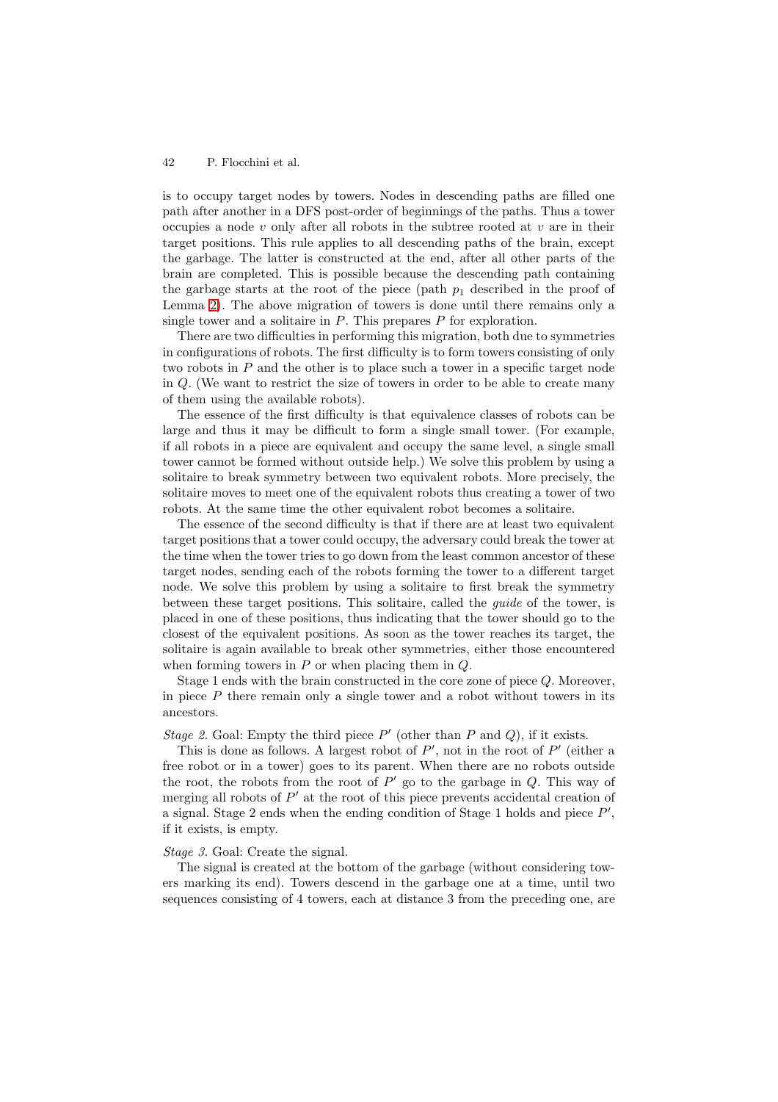is to occupy target nodes by towers. Nodes in descending paths are filled one path after another in a DFS post-order of beginnings of the paths. Thus a tower occupies a node  $v$  only after all robots in the subtree rooted at  $v$  are in their target positions. This rule applies to all descending paths of the brain, except the garbage. The latter is constructed at the end, after all other parts of the brain are completed. This is possible because the descending path containing the garbage starts at the root of the piece (path  $p_1$  described in the proof of Lemma [2\)](#page-6-1). The above migration of towers is done until there remains only a single tower and a solitaire in  $P$ . This prepares  $P$  for exploration.

There are two difficulties in performing this migration, both due to symmetries in configurations of robots. The first difficulty is to form towers consisting of only two robots in  $P$  and the other is to place such a tower in a specific target node in Q. (We want to restrict the size of towers in order to be able to create many of them using the available robots).

The essence of the first difficulty is that equivalence classes of robots can be large and thus it may be difficult to form a single small tower. (For example, if all robots in a piece are equivalent and occupy the same level, a single small tower cannot be formed without outside help.) We solve this problem by using a solitaire to break symmetry between two equivalent robots. More precisely, the solitaire moves to meet one of the equivalent robots thus creating a tower of two robots. At the same time the other equivalent robot becomes a solitaire.

The essence of the second difficulty is that if there are at least two equivalent target positions that a tower could occupy, the adversary could break the tower at the time when the tower tries to go down from the least common ancestor of these target nodes, sending each of the robots forming the tower to a different target node. We solve this problem by using a solitaire to first break the symmetry between these target positions. This solitaire, called the guide of the tower, is placed in one of these positions, thus indicating that the tower should go to the closest of the equivalent positions. As soon as the tower reaches its target, the solitaire is again available to break other symmetries, either those encountered when forming towers in  $P$  or when placing them in  $Q$ .

Stage 1 ends with the brain constructed in the core zone of piece Q. Moreover, in piece  $P$  there remain only a single tower and a robot without towers in its ancestors.

## Stage 2. Goal: Empty the third piece  $P'$  (other than P and Q), if it exists.

This is done as follows. A largest robot of  $P'$ , not in the root of  $P'$  (either a free robot or in a tower) goes to its parent. When there are no robots outside the root, the robots from the root of  $P'$  go to the garbage in  $Q$ . This way of merging all robots of  $P'$  at the root of this piece prevents accidental creation of a signal. Stage 2 ends when the ending condition of Stage 1 holds and piece  $P'$ , if it exists, is empty.

## Stage 3. Goal: Create the signal.

The signal is created at the bottom of the garbage (without considering towers marking its end). Towers descend in the garbage one at a time, until two sequences consisting of 4 towers, each at distance 3 from the preceding one, are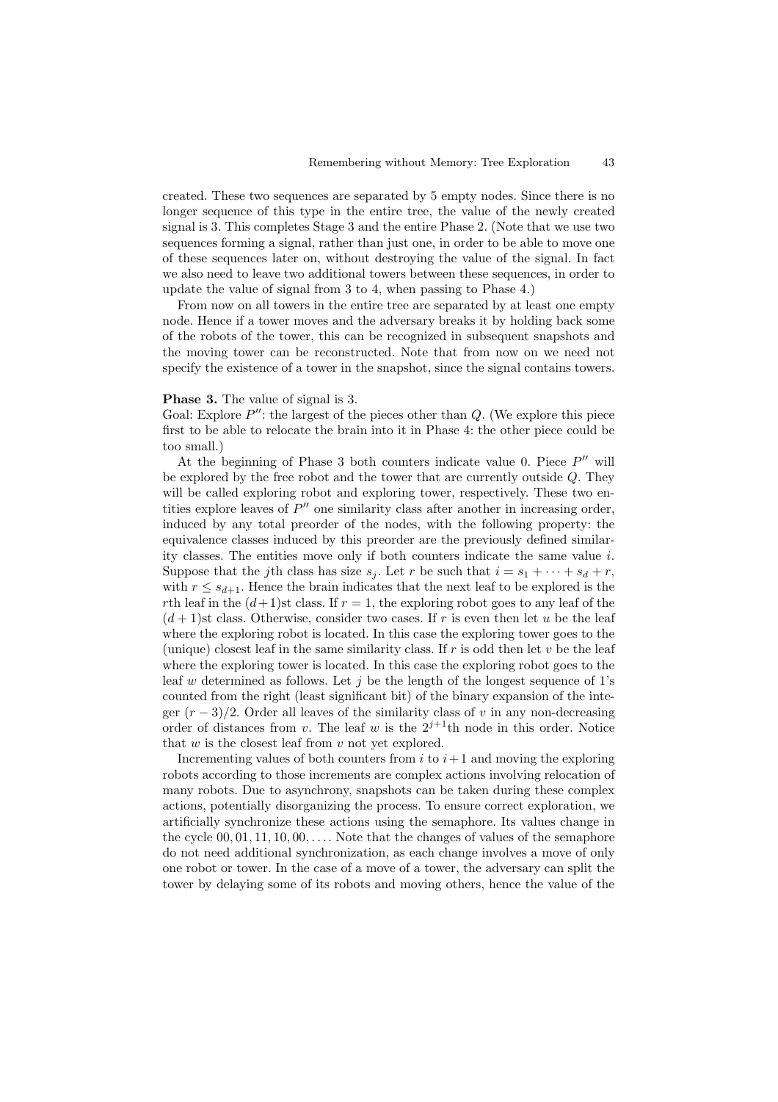created. These two sequences are separated by 5 empty nodes. Since there is no longer sequence of this type in the entire tree, the value of the newly created signal is 3. This completes Stage 3 and the entire Phase 2. (Note that we use two sequences forming a signal, rather than just one, in order to be able to move one of these sequences later on, without destroying the value of the signal. In fact we also need to leave two additional towers between these sequences, in order to update the value of signal from 3 to 4, when passing to Phase 4.)

From now on all towers in the entire tree are separated by at least one empty node. Hence if a tower moves and the adversary breaks it by holding back some of the robots of the tower, this can be recognized in subsequent snapshots and the moving tower can be reconstructed. Note that from now on we need not specify the existence of a tower in the snapshot, since the signal contains towers.

#### **Phase 3.** The value of signal is 3.

Goal: Explore  $P''$ : the largest of the pieces other than Q. (We explore this piece first to be able to relocate the brain into it in Phase 4: the other piece could be too small.)

At the beginning of Phase 3 both counters indicate value 0. Piece  $P''$  will be explored by the free robot and the tower that are currently outside Q. They will be called exploring robot and exploring tower, respectively. These two entities explore leaves of  $P''$  one similarity class after another in increasing order, induced by any total preorder of the nodes, with the following property: the equivalence classes induced by this preorder are the previously defined similarity classes. The entities move only if both counters indicate the same value  $i$ . Suppose that the j<sup>th</sup> class has size  $s_i$ . Let r be such that  $i = s_1 + \cdots + s_d + r$ , with  $r \leq s_{d+1}$ . Hence the brain indicates that the next leaf to be explored is the rth leaf in the  $(d+1)$ st class. If  $r = 1$ , the exploring robot goes to any leaf of the  $(d+1)$ st class. Otherwise, consider two cases. If r is even then let u be the leaf where the exploring robot is located. In this case the exploring tower goes to the (unique) closest leaf in the same similarity class. If  $r$  is odd then let  $v$  be the leaf where the exploring tower is located. In this case the exploring robot goes to the leaf w determined as follows. Let  $j$  be the length of the longest sequence of 1's counted from the right (least significant bit) of the binary expansion of the integer  $(r-3)/2$ . Order all leaves of the similarity class of v in any non-decreasing order of distances from v. The leaf w is the  $2^{j+1}$ th node in this order. Notice that  $w$  is the closest leaf from  $v$  not yet explored.

Incrementing values of both counters from  $i$  to  $i+1$  and moving the exploring robots according to those increments are complex actions involving relocation of many robots. Due to asynchrony, snapshots can be taken during these complex actions, potentially disorganizing the process. To ensure correct exploration, we artificially synchronize these actions using the semaphore. Its values change in the cycle  $00, 01, 11, 10, 00, \ldots$ . Note that the changes of values of the semaphore do not need additional synchronization, as each change involves a move of only one robot or tower. In the case of a move of a tower, the adversary can split the tower by delaying some of its robots and moving others, hence the value of the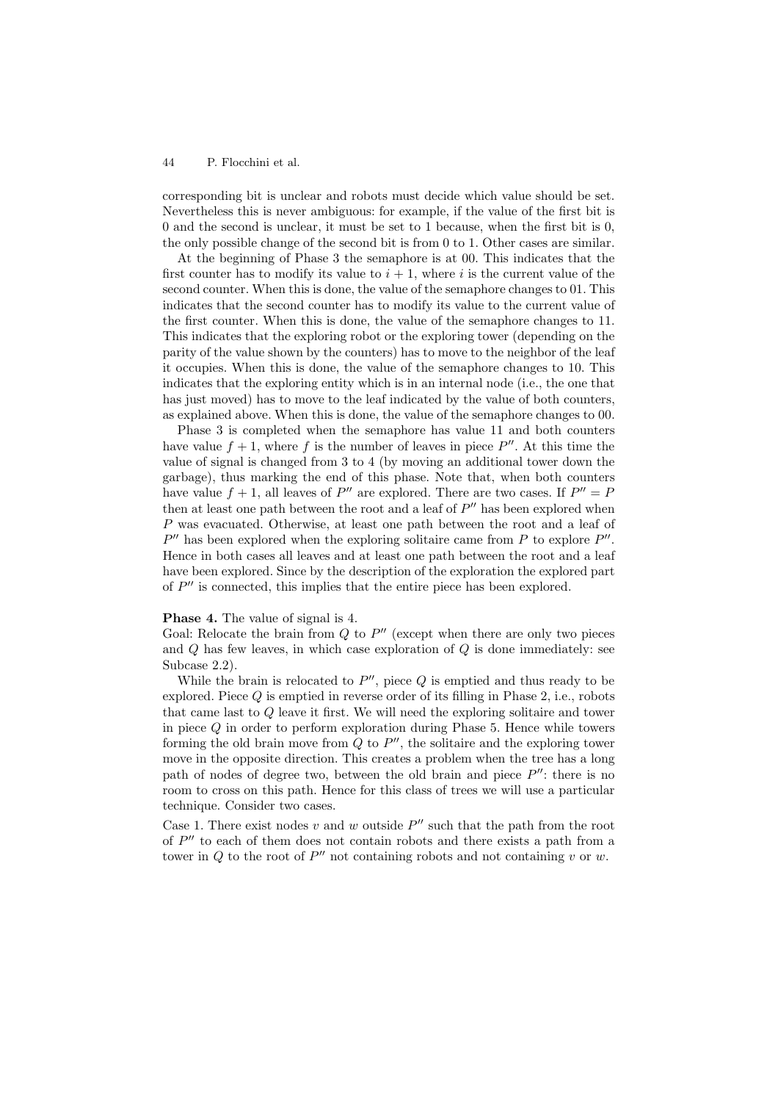corresponding bit is unclear and robots must decide which value should be set. Nevertheless this is never ambiguous: for example, if the value of the first bit is 0 and the second is unclear, it must be set to 1 because, when the first bit is 0, the only possible change of the second bit is from 0 to 1. Other cases are similar.

At the beginning of Phase 3 the semaphore is at 00. This indicates that the first counter has to modify its value to  $i + 1$ , where i is the current value of the second counter. When this is done, the value of the semaphore changes to 01. This indicates that the second counter has to modify its value to the current value of the first counter. When this is done, the value of the semaphore changes to 11. This indicates that the exploring robot or the exploring tower (depending on the parity of the value shown by the counters) has to move to the neighbor of the leaf it occupies. When this is done, the value of the semaphore changes to 10. This indicates that the exploring entity which is in an internal node (i.e., the one that has just moved) has to move to the leaf indicated by the value of both counters, as explained above. When this is done, the value of the semaphore changes to 00.

Phase 3 is completed when the semaphore has value 11 and both counters have value  $f + 1$ , where f is the number of leaves in piece  $P''$ . At this time the value of signal is changed from 3 to 4 (by moving an additional tower down the garbage), thus marking the end of this phase. Note that, when both counters have value  $f + 1$ , all leaves of P'' are explored. There are two cases. If  $P'' = P$ then at least one path between the root and a leaf of  $P''$  has been explored when P was evacuated. Otherwise, at least one path between the root and a leaf of  $P''$  has been explored when the exploring solitaire came from P to explore  $P''$ . Hence in both cases all leaves and at least one path between the root and a leaf have been explored. Since by the description of the exploration the explored part of  $P''$  is connected, this implies that the entire piece has been explored.

#### **Phase 4.** The value of signal is 4.

Goal: Relocate the brain from  $Q$  to  $P''$  (except when there are only two pieces and  $Q$  has few leaves, in which case exploration of  $Q$  is done immediately: see Subcase 2.2).

While the brain is relocated to  $P''$ , piece  $Q$  is emptied and thus ready to be explored. Piece Q is emptied in reverse order of its filling in Phase 2, i.e., robots that came last to Q leave it first. We will need the exploring solitaire and tower in piece Q in order to perform exploration during Phase 5. Hence while towers forming the old brain move from  $Q$  to  $P''$ , the solitaire and the exploring tower move in the opposite direction. This creates a problem when the tree has a long path of nodes of degree two, between the old brain and piece  $P''$ : there is no room to cross on this path. Hence for this class of trees we will use a particular technique. Consider two cases.

Case 1. There exist nodes v and w outside  $P''$  such that the path from the root of  $P''$  to each of them does not contain robots and there exists a path from a tower in Q to the root of  $P''$  not containing robots and not containing v or w.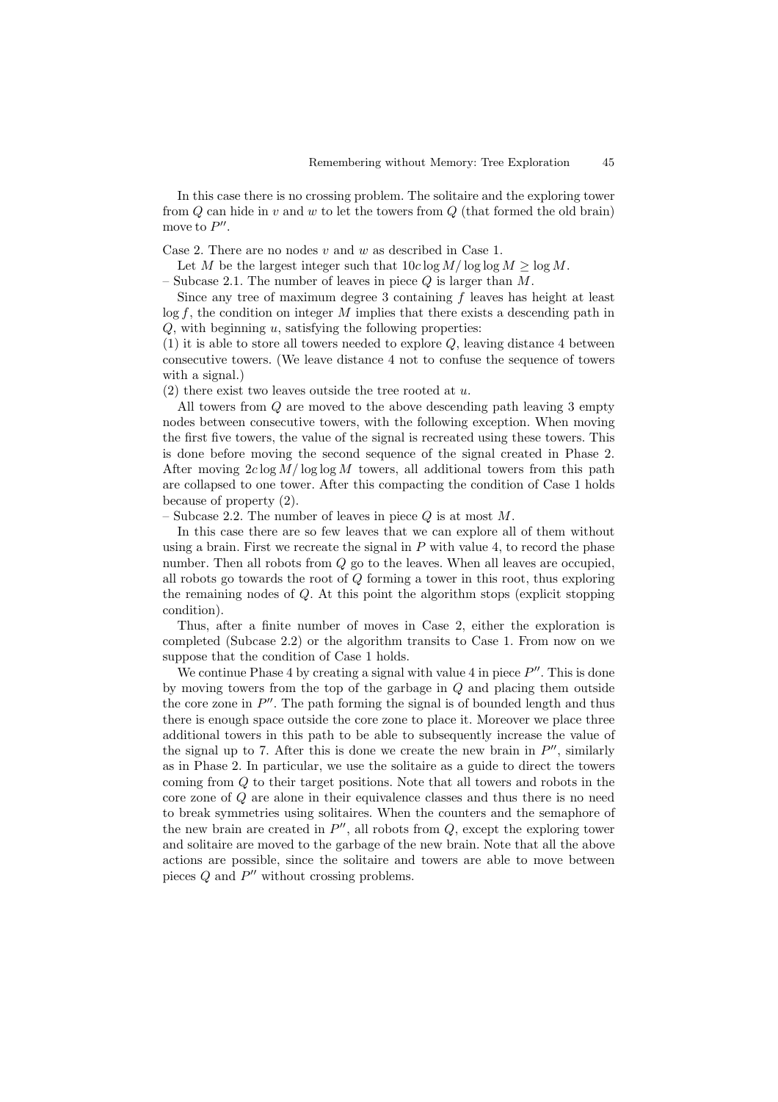In this case there is no crossing problem. The solitaire and the exploring tower from  $Q$  can hide in  $v$  and  $w$  to let the towers from  $Q$  (that formed the old brain) move to  $P''$ .

Case 2. There are no nodes  $v$  and  $w$  as described in Case 1.

Let M be the largest integer such that  $10c \log M / \log \log M \ge \log M$ .

– Subcase 2.1. The number of leaves in piece  $Q$  is larger than  $M$ .

Since any tree of maximum degree 3 containing  $f$  leaves has height at least  $\log f$ , the condition on integer M implies that there exists a descending path in  $Q$ , with beginning  $u$ , satisfying the following properties:

 $(1)$  it is able to store all towers needed to explore  $Q$ , leaving distance 4 between consecutive towers. (We leave distance 4 not to confuse the sequence of towers with a signal.)

 $(2)$  there exist two leaves outside the tree rooted at u.

All towers from Q are moved to the above descending path leaving 3 empty nodes between consecutive towers, with the following exception. When moving the first five towers, the value of the signal is recreated using these towers. This is done before moving the second sequence of the signal created in Phase 2. After moving  $2c \log M / \log \log M$  towers, all additional towers from this path are collapsed to one tower. After this compacting the condition of Case 1 holds because of property (2).

– Subcase 2.2. The number of leaves in piece  $Q$  is at most  $M$ .

In this case there are so few leaves that we can explore all of them without using a brain. First we recreate the signal in  $P$  with value 4, to record the phase number. Then all robots from  $Q$  go to the leaves. When all leaves are occupied, all robots go towards the root of  $Q$  forming a tower in this root, thus exploring the remaining nodes of  $Q$ . At this point the algorithm stops (explicit stopping condition).

Thus, after a finite number of moves in Case 2, either the exploration is completed (Subcase 2.2) or the algorithm transits to Case 1. From now on we suppose that the condition of Case 1 holds.

We continue Phase 4 by creating a signal with value 4 in piece  $P''$ . This is done by moving towers from the top of the garbage in  $Q$  and placing them outside the core zone in  $P''$ . The path forming the signal is of bounded length and thus there is enough space outside the core zone to place it. Moreover we place three additional towers in this path to be able to subsequently increase the value of the signal up to 7. After this is done we create the new brain in  $P''$ , similarly as in Phase 2. In particular, we use the solitaire as a guide to direct the towers coming from  $\overline{Q}$  to their target positions. Note that all towers and robots in the core zone of Q are alone in their equivalence classes and thus there is no need to break symmetries using solitaires. When the counters and the semaphore of the new brain are created in  $P''$ , all robots from  $Q$ , except the exploring tower and solitaire are moved to the garbage of the new brain. Note that all the above actions are possible, since the solitaire and towers are able to move between pieces  $Q$  and  $P''$  without crossing problems.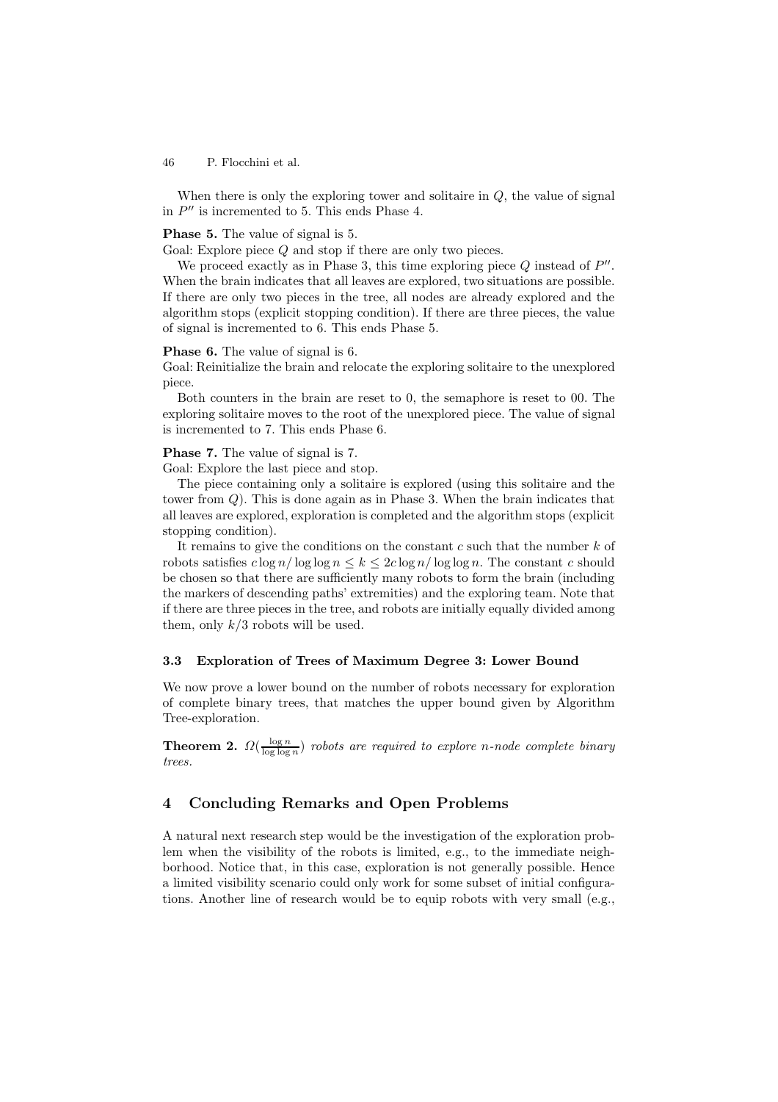When there is only the exploring tower and solitaire in  $Q$ , the value of signal in  $P''$  is incremented to 5. This ends Phase 4.

## **Phase 5.** The value of signal is 5.

Goal: Explore piece Q and stop if there are only two pieces.

We proceed exactly as in Phase 3, this time exploring piece  $Q$  instead of  $P''$ . When the brain indicates that all leaves are explored, two situations are possible. If there are only two pieces in the tree, all nodes are already explored and the algorithm stops (explicit stopping condition). If there are three pieces, the value of signal is incremented to 6. This ends Phase 5.

## **Phase 6.** The value of signal is 6.

Goal: Reinitialize the brain and relocate the exploring solitaire to the unexplored piece.

Both counters in the brain are reset to 0, the semaphore is reset to 00. The exploring solitaire moves to the root of the unexplored piece. The value of signal is incremented to 7. This ends Phase 6.

# **Phase 7.** The value of signal is 7.

Goal: Explore the last piece and stop.

The piece containing only a solitaire is explored (using this solitaire and the tower from Q). This is done again as in Phase 3. When the brain indicates that all leaves are explored, exploration is completed and the algorithm stops (explicit stopping condition).

It remains to give the conditions on the constant  $c$  such that the number  $k$  of robots satisfies  $c \log n / \log \log n \leq k \leq 2c \log n / \log \log n$ . The constant c should be chosen so that there are sufficiently many robots to form the brain (including the markers of descending paths' extremities) and the exploring team. Note that if there are three pieces in the tree, and robots are initially equally divided among them, only  $k/3$  robots will be used.

## **3.3 Exploration of Trees of Maximum Degree 3: Lower Bound**

We now prove a lower bound on the number of robots necessary for exploration of complete binary trees, that matches the upper bound given by Algorithm Tree-exploration.

**Theorem 2.**  $\Omega(\frac{\log n}{\log \log n})$  robots are required to explore n-node complete binary trees.

# **4 Concluding Remarks and Open Problems**

A natural next research step would be the investigation of the exploration problem when the visibility of the robots is limited, e.g., to the immediate neighborhood. Notice that, in this case, exploration is not generally possible. Hence a limited visibility scenario could only work for some subset of initial configurations. Another line of research would be to equip robots with very small (e.g.,